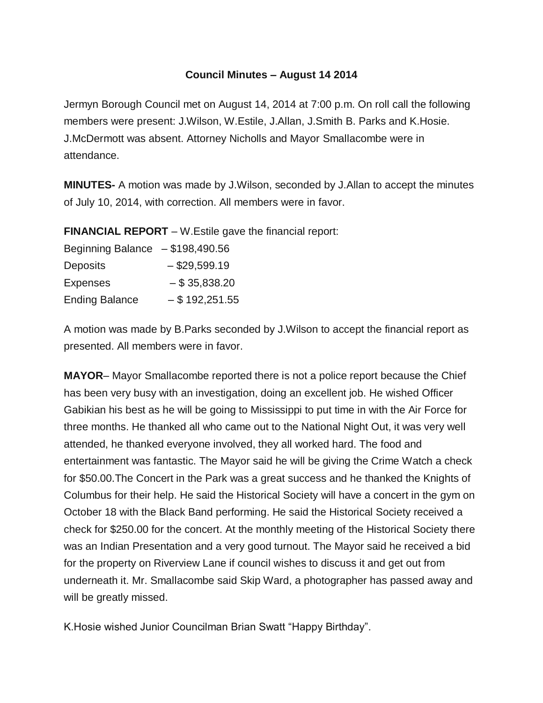## **Council Minutes – August 14 2014**

Jermyn Borough Council met on August 14, 2014 at 7:00 p.m. On roll call the following members were present: J.Wilson, W.Estile, J.Allan, J.Smith B. Parks and K.Hosie. J.McDermott was absent. Attorney Nicholls and Mayor Smallacombe were in attendance.

**MINUTES-** A motion was made by J.Wilson, seconded by J.Allan to accept the minutes of July 10, 2014, with correction. All members were in favor.

**FINANCIAL REPORT** – W.Estile gave the financial report:

| Beginning Balance $- $198,490.56$ |                  |
|-----------------------------------|------------------|
| <b>Deposits</b>                   | $-$ \$29,599.19  |
| <b>Expenses</b>                   | $-$ \$ 35,838.20 |
| <b>Ending Balance</b>             | $-$ \$192,251.55 |

A motion was made by B.Parks seconded by J.Wilson to accept the financial report as presented. All members were in favor.

**MAYOR**– Mayor Smallacombe reported there is not a police report because the Chief has been very busy with an investigation, doing an excellent job. He wished Officer Gabikian his best as he will be going to Mississippi to put time in with the Air Force for three months. He thanked all who came out to the National Night Out, it was very well attended, he thanked everyone involved, they all worked hard. The food and entertainment was fantastic. The Mayor said he will be giving the Crime Watch a check for \$50.00.The Concert in the Park was a great success and he thanked the Knights of Columbus for their help. He said the Historical Society will have a concert in the gym on October 18 with the Black Band performing. He said the Historical Society received a check for \$250.00 for the concert. At the monthly meeting of the Historical Society there was an Indian Presentation and a very good turnout. The Mayor said he received a bid for the property on Riverview Lane if council wishes to discuss it and get out from underneath it. Mr. Smallacombe said Skip Ward, a photographer has passed away and will be greatly missed.

K.Hosie wished Junior Councilman Brian Swatt "Happy Birthday".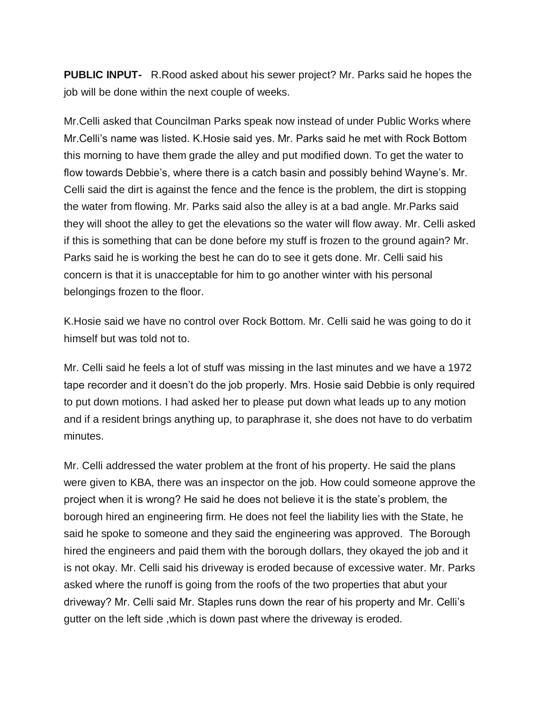**PUBLIC INPUT-** R.Rood asked about his sewer project? Mr. Parks said he hopes the job will be done within the next couple of weeks.

Mr.Celli asked that Councilman Parks speak now instead of under Public Works where Mr.Celli's name was listed. K.Hosie said yes. Mr. Parks said he met with Rock Bottom this morning to have them grade the alley and put modified down. To get the water to flow towards Debbie's, where there is a catch basin and possibly behind Wayne's. Mr. Celli said the dirt is against the fence and the fence is the problem, the dirt is stopping the water from flowing. Mr. Parks said also the alley is at a bad angle. Mr.Parks said they will shoot the alley to get the elevations so the water will flow away. Mr. Celli asked if this is something that can be done before my stuff is frozen to the ground again? Mr. Parks said he is working the best he can do to see it gets done. Mr. Celli said his concern is that it is unacceptable for him to go another winter with his personal belongings frozen to the floor.

K.Hosie said we have no control over Rock Bottom. Mr. Celli said he was going to do it himself but was told not to.

Mr. Celli said he feels a lot of stuff was missing in the last minutes and we have a 1972 tape recorder and it doesn't do the job properly. Mrs. Hosie said Debbie is only required to put down motions. I had asked her to please put down what leads up to any motion and if a resident brings anything up, to paraphrase it, she does not have to do verbatim minutes.

Mr. Celli addressed the water problem at the front of his property. He said the plans were given to KBA, there was an inspector on the job. How could someone approve the project when it is wrong? He said he does not believe it is the state's problem, the borough hired an engineering firm. He does not feel the liability lies with the State, he said he spoke to someone and they said the engineering was approved. The Borough hired the engineers and paid them with the borough dollars, they okayed the job and it is not okay. Mr. Celli said his driveway is eroded because of excessive water. Mr. Parks asked where the runoff is going from the roofs of the two properties that abut your driveway? Mr. Celli said Mr. Staples runs down the rear of his property and Mr. Celli's gutter on the left side ,which is down past where the driveway is eroded.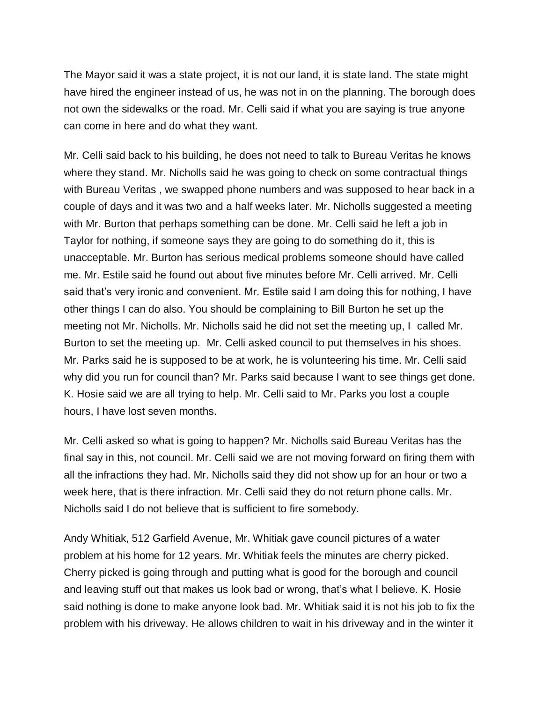The Mayor said it was a state project, it is not our land, it is state land. The state might have hired the engineer instead of us, he was not in on the planning. The borough does not own the sidewalks or the road. Mr. Celli said if what you are saying is true anyone can come in here and do what they want.

Mr. Celli said back to his building, he does not need to talk to Bureau Veritas he knows where they stand. Mr. Nicholls said he was going to check on some contractual things with Bureau Veritas , we swapped phone numbers and was supposed to hear back in a couple of days and it was two and a half weeks later. Mr. Nicholls suggested a meeting with Mr. Burton that perhaps something can be done. Mr. Celli said he left a job in Taylor for nothing, if someone says they are going to do something do it, this is unacceptable. Mr. Burton has serious medical problems someone should have called me. Mr. Estile said he found out about five minutes before Mr. Celli arrived. Mr. Celli said that's very ironic and convenient. Mr. Estile said I am doing this for nothing, I have other things I can do also. You should be complaining to Bill Burton he set up the meeting not Mr. Nicholls. Mr. Nicholls said he did not set the meeting up, I called Mr. Burton to set the meeting up. Mr. Celli asked council to put themselves in his shoes. Mr. Parks said he is supposed to be at work, he is volunteering his time. Mr. Celli said why did you run for council than? Mr. Parks said because I want to see things get done. K. Hosie said we are all trying to help. Mr. Celli said to Mr. Parks you lost a couple hours, I have lost seven months.

Mr. Celli asked so what is going to happen? Mr. Nicholls said Bureau Veritas has the final say in this, not council. Mr. Celli said we are not moving forward on firing them with all the infractions they had. Mr. Nicholls said they did not show up for an hour or two a week here, that is there infraction. Mr. Celli said they do not return phone calls. Mr. Nicholls said I do not believe that is sufficient to fire somebody.

Andy Whitiak, 512 Garfield Avenue, Mr. Whitiak gave council pictures of a water problem at his home for 12 years. Mr. Whitiak feels the minutes are cherry picked. Cherry picked is going through and putting what is good for the borough and council and leaving stuff out that makes us look bad or wrong, that's what I believe. K. Hosie said nothing is done to make anyone look bad. Mr. Whitiak said it is not his job to fix the problem with his driveway. He allows children to wait in his driveway and in the winter it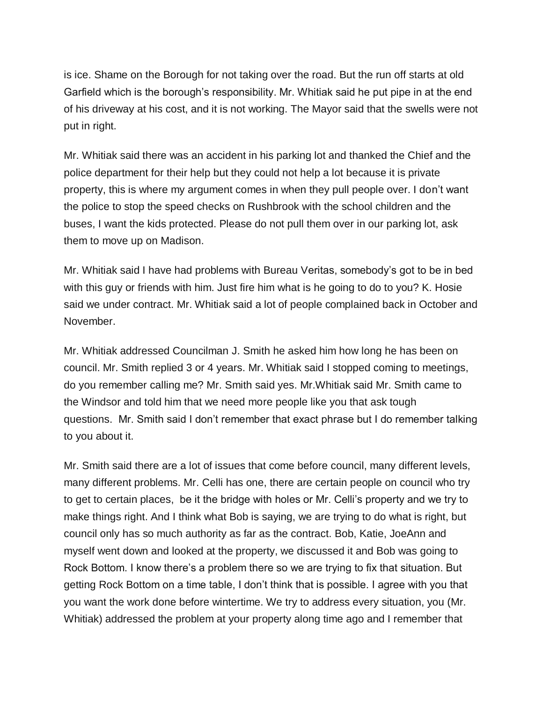is ice. Shame on the Borough for not taking over the road. But the run off starts at old Garfield which is the borough's responsibility. Mr. Whitiak said he put pipe in at the end of his driveway at his cost, and it is not working. The Mayor said that the swells were not put in right.

Mr. Whitiak said there was an accident in his parking lot and thanked the Chief and the police department for their help but they could not help a lot because it is private property, this is where my argument comes in when they pull people over. I don't want the police to stop the speed checks on Rushbrook with the school children and the buses, I want the kids protected. Please do not pull them over in our parking lot, ask them to move up on Madison.

Mr. Whitiak said I have had problems with Bureau Veritas, somebody's got to be in bed with this guy or friends with him. Just fire him what is he going to do to you? K. Hosie said we under contract. Mr. Whitiak said a lot of people complained back in October and November.

Mr. Whitiak addressed Councilman J. Smith he asked him how long he has been on council. Mr. Smith replied 3 or 4 years. Mr. Whitiak said I stopped coming to meetings, do you remember calling me? Mr. Smith said yes. Mr.Whitiak said Mr. Smith came to the Windsor and told him that we need more people like you that ask tough questions. Mr. Smith said I don't remember that exact phrase but I do remember talking to you about it.

Mr. Smith said there are a lot of issues that come before council, many different levels, many different problems. Mr. Celli has one, there are certain people on council who try to get to certain places, be it the bridge with holes or Mr. Celli's property and we try to make things right. And I think what Bob is saying, we are trying to do what is right, but council only has so much authority as far as the contract. Bob, Katie, JoeAnn and myself went down and looked at the property, we discussed it and Bob was going to Rock Bottom. I know there's a problem there so we are trying to fix that situation. But getting Rock Bottom on a time table, I don't think that is possible. I agree with you that you want the work done before wintertime. We try to address every situation, you (Mr. Whitiak) addressed the problem at your property along time ago and I remember that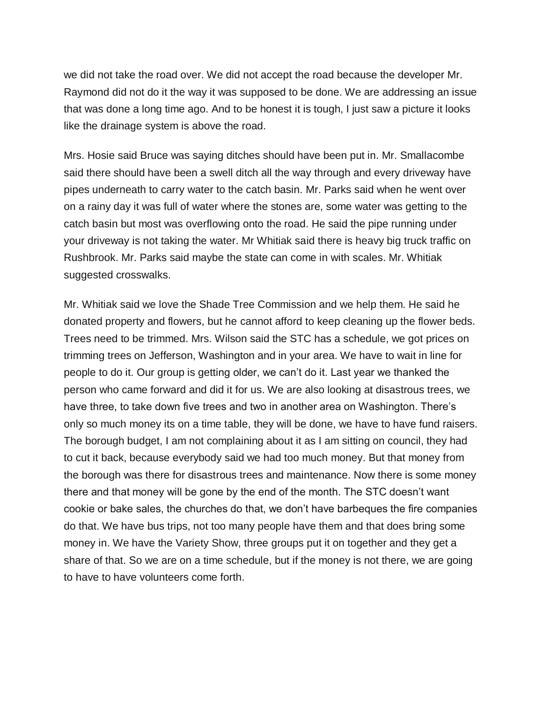we did not take the road over. We did not accept the road because the developer Mr. Raymond did not do it the way it was supposed to be done. We are addressing an issue that was done a long time ago. And to be honest it is tough, I just saw a picture it looks like the drainage system is above the road.

Mrs. Hosie said Bruce was saying ditches should have been put in. Mr. Smallacombe said there should have been a swell ditch all the way through and every driveway have pipes underneath to carry water to the catch basin. Mr. Parks said when he went over on a rainy day it was full of water where the stones are, some water was getting to the catch basin but most was overflowing onto the road. He said the pipe running under your driveway is not taking the water. Mr Whitiak said there is heavy big truck traffic on Rushbrook. Mr. Parks said maybe the state can come in with scales. Mr. Whitiak suggested crosswalks.

Mr. Whitiak said we love the Shade Tree Commission and we help them. He said he donated property and flowers, but he cannot afford to keep cleaning up the flower beds. Trees need to be trimmed. Mrs. Wilson said the STC has a schedule, we got prices on trimming trees on Jefferson, Washington and in your area. We have to wait in line for people to do it. Our group is getting older, we can't do it. Last year we thanked the person who came forward and did it for us. We are also looking at disastrous trees, we have three, to take down five trees and two in another area on Washington. There's only so much money its on a time table, they will be done, we have to have fund raisers. The borough budget, I am not complaining about it as I am sitting on council, they had to cut it back, because everybody said we had too much money. But that money from the borough was there for disastrous trees and maintenance. Now there is some money there and that money will be gone by the end of the month. The STC doesn't want cookie or bake sales, the churches do that, we don't have barbeques the fire companies do that. We have bus trips, not too many people have them and that does bring some money in. We have the Variety Show, three groups put it on together and they get a share of that. So we are on a time schedule, but if the money is not there, we are going to have to have volunteers come forth.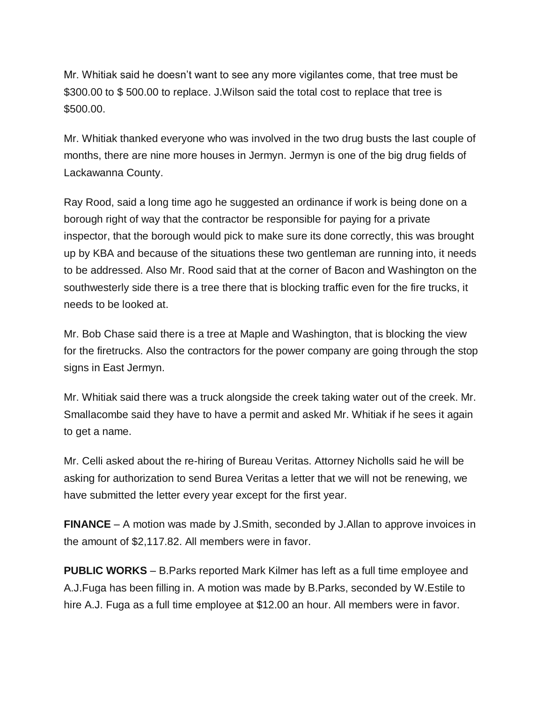Mr. Whitiak said he doesn't want to see any more vigilantes come, that tree must be \$300.00 to \$500.00 to replace. J. Wilson said the total cost to replace that tree is \$500.00.

Mr. Whitiak thanked everyone who was involved in the two drug busts the last couple of months, there are nine more houses in Jermyn. Jermyn is one of the big drug fields of Lackawanna County.

Ray Rood, said a long time ago he suggested an ordinance if work is being done on a borough right of way that the contractor be responsible for paying for a private inspector, that the borough would pick to make sure its done correctly, this was brought up by KBA and because of the situations these two gentleman are running into, it needs to be addressed. Also Mr. Rood said that at the corner of Bacon and Washington on the southwesterly side there is a tree there that is blocking traffic even for the fire trucks, it needs to be looked at.

Mr. Bob Chase said there is a tree at Maple and Washington, that is blocking the view for the firetrucks. Also the contractors for the power company are going through the stop signs in East Jermyn.

Mr. Whitiak said there was a truck alongside the creek taking water out of the creek. Mr. Smallacombe said they have to have a permit and asked Mr. Whitiak if he sees it again to get a name.

Mr. Celli asked about the re-hiring of Bureau Veritas. Attorney Nicholls said he will be asking for authorization to send Burea Veritas a letter that we will not be renewing, we have submitted the letter every year except for the first year.

**FINANCE** – A motion was made by J.Smith, seconded by J.Allan to approve invoices in the amount of \$2,117.82. All members were in favor.

**PUBLIC WORKS** – B.Parks reported Mark Kilmer has left as a full time employee and A.J.Fuga has been filling in. A motion was made by B.Parks, seconded by W.Estile to hire A.J. Fuga as a full time employee at \$12.00 an hour. All members were in favor.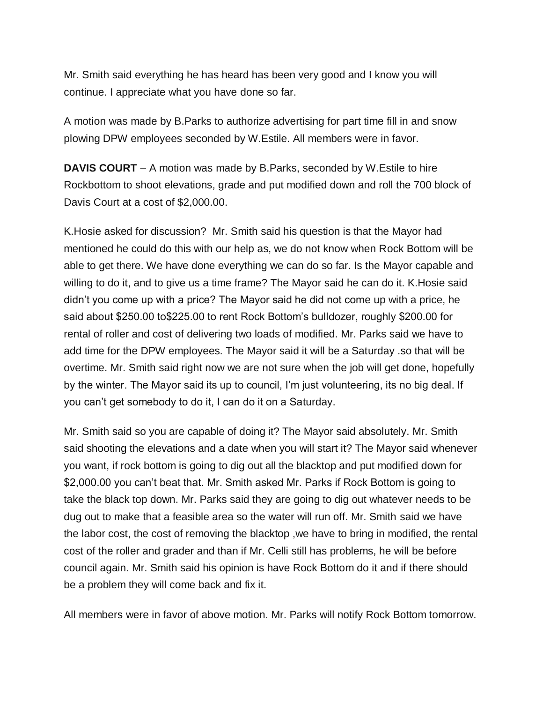Mr. Smith said everything he has heard has been very good and I know you will continue. I appreciate what you have done so far.

A motion was made by B.Parks to authorize advertising for part time fill in and snow plowing DPW employees seconded by W.Estile. All members were in favor.

**DAVIS COURT** – A motion was made by B.Parks, seconded by W.Estile to hire Rockbottom to shoot elevations, grade and put modified down and roll the 700 block of Davis Court at a cost of \$2,000.00.

K.Hosie asked for discussion? Mr. Smith said his question is that the Mayor had mentioned he could do this with our help as, we do not know when Rock Bottom will be able to get there. We have done everything we can do so far. Is the Mayor capable and willing to do it, and to give us a time frame? The Mayor said he can do it. K.Hosie said didn't you come up with a price? The Mayor said he did not come up with a price, he said about \$250.00 to\$225.00 to rent Rock Bottom's bulldozer, roughly \$200.00 for rental of roller and cost of delivering two loads of modified. Mr. Parks said we have to add time for the DPW employees. The Mayor said it will be a Saturday .so that will be overtime. Mr. Smith said right now we are not sure when the job will get done, hopefully by the winter. The Mayor said its up to council, I'm just volunteering, its no big deal. If you can't get somebody to do it, I can do it on a Saturday.

Mr. Smith said so you are capable of doing it? The Mayor said absolutely. Mr. Smith said shooting the elevations and a date when you will start it? The Mayor said whenever you want, if rock bottom is going to dig out all the blacktop and put modified down for \$2,000.00 you can't beat that. Mr. Smith asked Mr. Parks if Rock Bottom is going to take the black top down. Mr. Parks said they are going to dig out whatever needs to be dug out to make that a feasible area so the water will run off. Mr. Smith said we have the labor cost, the cost of removing the blacktop ,we have to bring in modified, the rental cost of the roller and grader and than if Mr. Celli still has problems, he will be before council again. Mr. Smith said his opinion is have Rock Bottom do it and if there should be a problem they will come back and fix it.

All members were in favor of above motion. Mr. Parks will notify Rock Bottom tomorrow.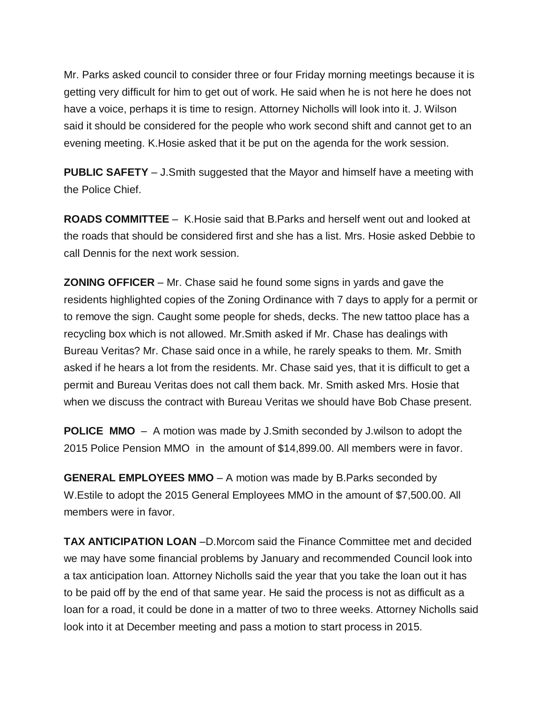Mr. Parks asked council to consider three or four Friday morning meetings because it is getting very difficult for him to get out of work. He said when he is not here he does not have a voice, perhaps it is time to resign. Attorney Nicholls will look into it. J. Wilson said it should be considered for the people who work second shift and cannot get to an evening meeting. K.Hosie asked that it be put on the agenda for the work session.

**PUBLIC SAFETY** – J.Smith suggested that the Mayor and himself have a meeting with the Police Chief.

**ROADS COMMITTEE** – K.Hosie said that B.Parks and herself went out and looked at the roads that should be considered first and she has a list. Mrs. Hosie asked Debbie to call Dennis for the next work session.

**ZONING OFFICER** – Mr. Chase said he found some signs in yards and gave the residents highlighted copies of the Zoning Ordinance with 7 days to apply for a permit or to remove the sign. Caught some people for sheds, decks. The new tattoo place has a recycling box which is not allowed. Mr.Smith asked if Mr. Chase has dealings with Bureau Veritas? Mr. Chase said once in a while, he rarely speaks to them. Mr. Smith asked if he hears a lot from the residents. Mr. Chase said yes, that it is difficult to get a permit and Bureau Veritas does not call them back. Mr. Smith asked Mrs. Hosie that when we discuss the contract with Bureau Veritas we should have Bob Chase present.

**POLICE MMO** – A motion was made by J.Smith seconded by J.wilson to adopt the 2015 Police Pension MMO in the amount of \$14,899.00. All members were in favor.

**GENERAL EMPLOYEES MMO** – A motion was made by B.Parks seconded by W.Estile to adopt the 2015 General Employees MMO in the amount of \$7,500.00. All members were in favor.

**TAX ANTICIPATION LOAN** –D.Morcom said the Finance Committee met and decided we may have some financial problems by January and recommended Council look into a tax anticipation loan. Attorney Nicholls said the year that you take the loan out it has to be paid off by the end of that same year. He said the process is not as difficult as a loan for a road, it could be done in a matter of two to three weeks. Attorney Nicholls said look into it at December meeting and pass a motion to start process in 2015.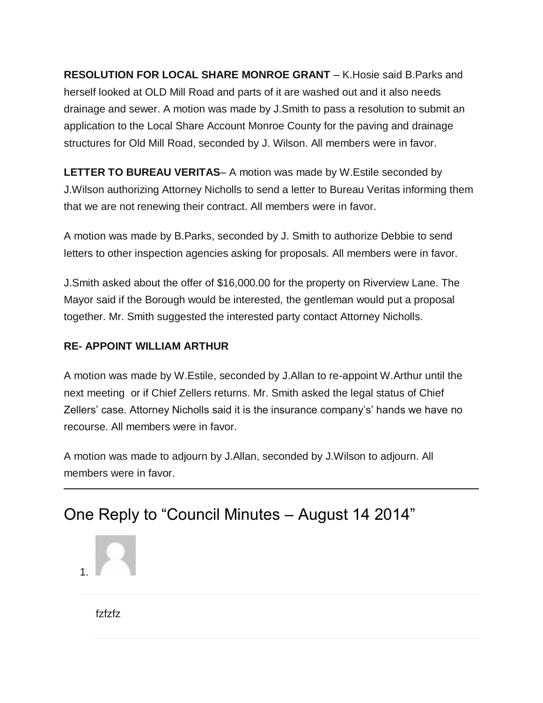**RESOLUTION FOR LOCAL SHARE MONROE GRANT** – K.Hosie said B.Parks and herself looked at OLD Mill Road and parts of it are washed out and it also needs drainage and sewer. A motion was made by J.Smith to pass a resolution to submit an application to the Local Share Account Monroe County for the paving and drainage structures for Old Mill Road, seconded by J. Wilson. All members were in favor.

**LETTER TO BUREAU VERITAS**– A motion was made by W.Estile seconded by J.Wilson authorizing Attorney Nicholls to send a letter to Bureau Veritas informing them that we are not renewing their contract. All members were in favor.

A motion was made by B.Parks, seconded by J. Smith to authorize Debbie to send letters to other inspection agencies asking for proposals. All members were in favor.

J.Smith asked about the offer of \$16,000.00 for the property on Riverview Lane. The Mayor said if the Borough would be interested, the gentleman would put a proposal together. Mr. Smith suggested the interested party contact Attorney Nicholls.

## **RE- APPOINT WILLIAM ARTHUR**

A motion was made by W.Estile, seconded by J.Allan to re-appoint W.Arthur until the next meeting or if Chief Zellers returns. Mr. Smith asked the legal status of Chief Zellers' case. Attorney Nicholls said it is the insurance company's' hands we have no recourse. All members were in favor.

A motion was made to adjourn by J.Allan, seconded by J.Wilson to adjourn. All members were in favor.

## One Reply to "Council Minutes – August 14 2014"



fzfzfz